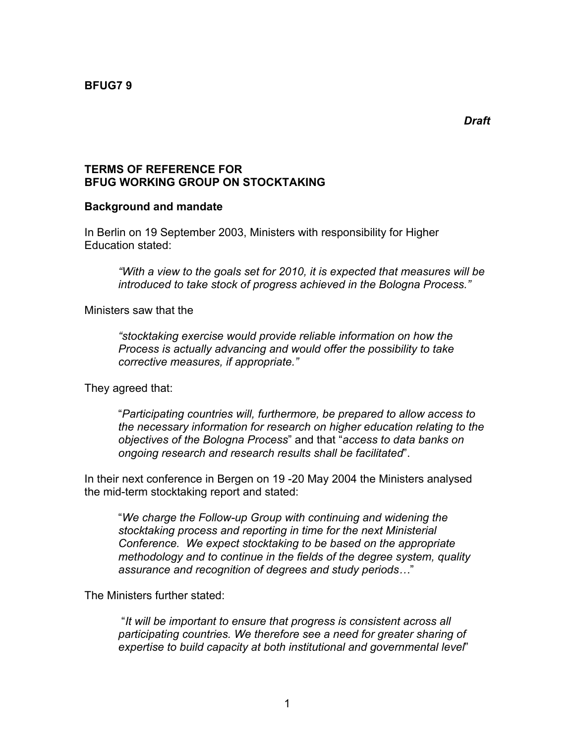### **TERMS OF REFERENCE FOR BFUG WORKING GROUP ON STOCKTAKING**

### **Background and mandate**

In Berlin on 19 September 2003, Ministers with responsibility for Higher Education stated:

*"With a view to the goals set for 2010, it is expected that measures will be introduced to take stock of progress achieved in the Bologna Process."*

Ministers saw that the

*"stocktaking exercise would provide reliable information on how the Process is actually advancing and would offer the possibility to take corrective measures, if appropriate."*

They agreed that:

"*Participating countries will, furthermore, be prepared to allow access to the necessary information for research on higher education relating to the objectives of the Bologna Process*" and that "*access to data banks on ongoing research and research results shall be facilitated*".

In their next conference in Bergen on 19 -20 May 2004 the Ministers analysed the mid-term stocktaking report and stated:

"*We charge the Follow-up Group with continuing and widening the stocktaking process and reporting in time for the next Ministerial Conference. We expect stocktaking to be based on the appropriate methodology and to continue in the fields of the degree system, quality assurance and recognition of degrees and study periods…*"

The Ministers further stated:

"*It will be important to ensure that progress is consistent across all participating countries. We therefore see a need for greater sharing of expertise to build capacity at both institutional and governmental level*"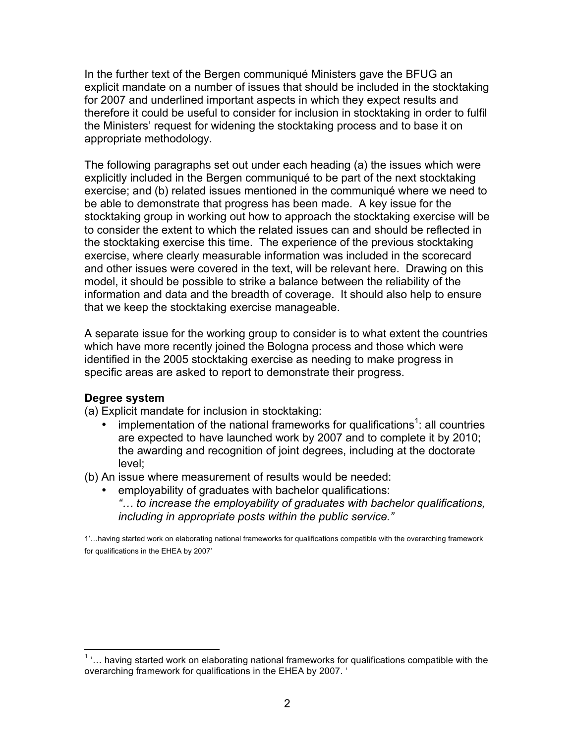In the further text of the Bergen communiqué Ministers gave the BFUG an explicit mandate on a number of issues that should be included in the stocktaking for 2007 and underlined important aspects in which they expect results and therefore it could be useful to consider for inclusion in stocktaking in order to fulfil the Ministers' request for widening the stocktaking process and to base it on appropriate methodology.

The following paragraphs set out under each heading (a) the issues which were explicitly included in the Bergen communiqué to be part of the next stocktaking exercise; and (b) related issues mentioned in the communiqué where we need to be able to demonstrate that progress has been made. A key issue for the stocktaking group in working out how to approach the stocktaking exercise will be to consider the extent to which the related issues can and should be reflected in the stocktaking exercise this time. The experience of the previous stocktaking exercise, where clearly measurable information was included in the scorecard and other issues were covered in the text, will be relevant here. Drawing on this model, it should be possible to strike a balance between the reliability of the information and data and the breadth of coverage. It should also help to ensure that we keep the stocktaking exercise manageable.

A separate issue for the working group to consider is to what extent the countries which have more recently joined the Bologna process and those which were identified in the 2005 stocktaking exercise as needing to make progress in specific areas are asked to report to demonstrate their progress.

### **Degree system**

(a) Explicit mandate for inclusion in stocktaking:

- implementation of the national frameworks for qualifications<sup>1</sup>: all countries are expected to have launched work by 2007 and to complete it by 2010; the awarding and recognition of joint degrees, including at the doctorate level;
- (b) An issue where measurement of results would be needed:
	- employability of graduates with bachelor qualifications: *"… to increase the employability of graduates with bachelor qualifications, including in appropriate posts within the public service."*

1'…having started work on elaborating national frameworks for qualifications compatible with the overarching framework for qualifications in the EHEA by 2007'

 $1$ <sup>1</sup>... having started work on elaborating national frameworks for qualifications compatible with the overarching framework for qualifications in the EHEA by 2007. '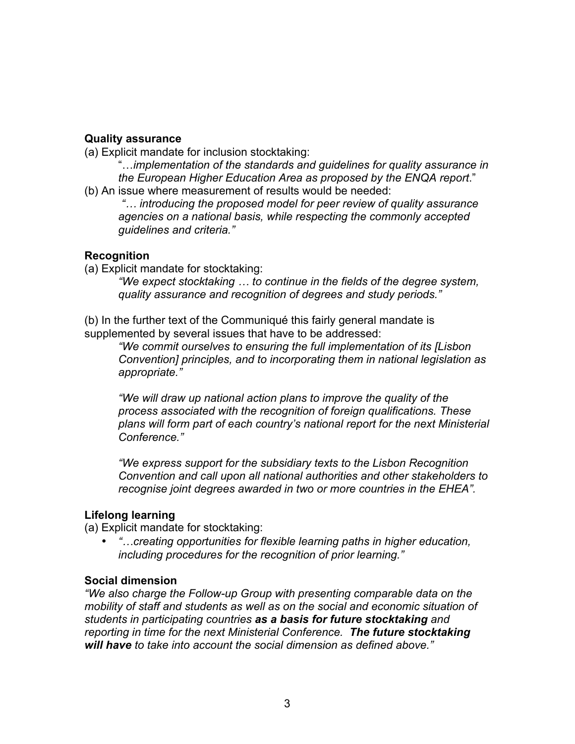### **Quality assurance**

(a) Explicit mandate for inclusion stocktaking:

"…*implementation of the standards and guidelines for quality assurance in the European Higher Education Area as proposed by the ENQA report*."

(b) An issue where measurement of results would be needed:

*"… introducing the proposed model for peer review of quality assurance agencies on a national basis, while respecting the commonly accepted guidelines and criteria."*

## **Recognition**

(a) Explicit mandate for stocktaking:

*"We expect stocktaking … to continue in the fields of the degree system, quality assurance and recognition of degrees and study periods."*

(b) In the further text of the Communiqué this fairly general mandate is supplemented by several issues that have to be addressed:

*"We commit ourselves to ensuring the full implementation of its [Lisbon Convention] principles, and to incorporating them in national legislation as appropriate."*

*"We will draw up national action plans to improve the quality of the process associated with the recognition of foreign qualifications. These plans will form part of each country's national report for the next Ministerial Conference."*

*"We express support for the subsidiary texts to the Lisbon Recognition Convention and call upon all national authorities and other stakeholders to recognise joint degrees awarded in two or more countries in the EHEA".*

# **Lifelong learning**

(a) Explicit mandate for stocktaking:

• *"…creating opportunities for flexible learning paths in higher education, including procedures for the recognition of prior learning."*

## **Social dimension**

*"We also charge the Follow-up Group with presenting comparable data on the mobility of staff and students as well as on the social and economic situation of students in participating countries as a basis for future stocktaking and reporting in time for the next Ministerial Conference. The future stocktaking will have to take into account the social dimension as defined above."*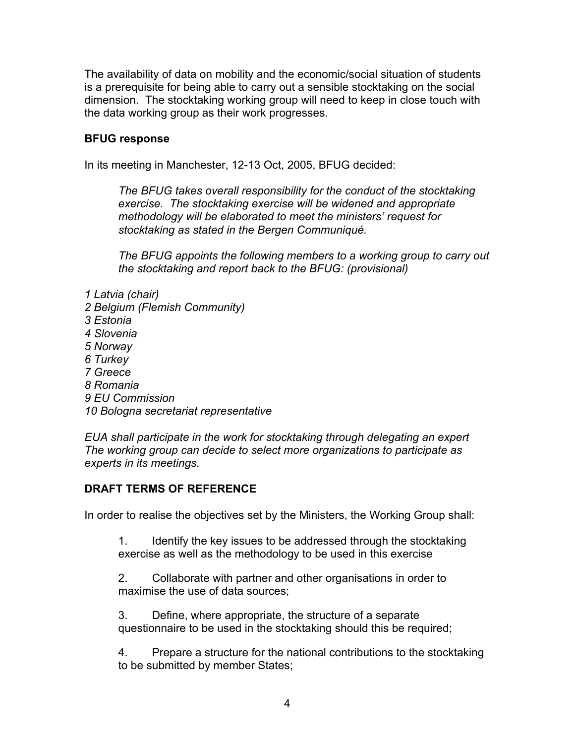The availability of data on mobility and the economic/social situation of students is a prerequisite for being able to carry out a sensible stocktaking on the social dimension. The stocktaking working group will need to keep in close touch with the data working group as their work progresses.

### **BFUG response**

In its meeting in Manchester, 12-13 Oct, 2005, BFUG decided:

*The BFUG takes overall responsibility for the conduct of the stocktaking exercise. The stocktaking exercise will be widened and appropriate methodology will be elaborated to meet the ministers' request for stocktaking as stated in the Bergen Communiqué.* 

*The BFUG appoints the following members to a working group to carry out the stocktaking and report back to the BFUG: (provisional)*

- *1 Latvia (chair)*
- *2 Belgium (Flemish Community)*
- *3 Estonia*
- *4 Slovenia*
- *5 Norway*
- *6 Turkey*
- *7 Greece*
- *8 Romania*
- *9 EU Commission*
- *10 Bologna secretariat representative*

*EUA shall participate in the work for stocktaking through delegating an expert The working group can decide to select more organizations to participate as experts in its meetings.* 

### **DRAFT TERMS OF REFERENCE**

In order to realise the objectives set by the Ministers, the Working Group shall:

1. Identify the key issues to be addressed through the stocktaking exercise as well as the methodology to be used in this exercise

2. Collaborate with partner and other organisations in order to maximise the use of data sources;

3. Define, where appropriate, the structure of a separate questionnaire to be used in the stocktaking should this be required;

4. Prepare a structure for the national contributions to the stocktaking to be submitted by member States;